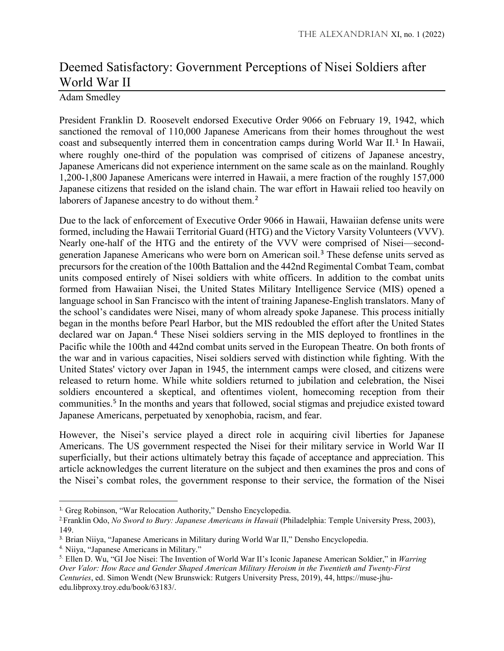## Deemed Satisfactory: Government Perceptions of Nisei Soldiers after World War II

## Adam Smedley

President Franklin D. Roosevelt endorsed Executive Order 9066 on February 19, 1942, which sanctioned the removal of 110,000 Japanese Americans from their homes throughout the west coast and subsequently interred them in concentration camps during World War II.<sup>[1](#page-0-0)</sup> In Hawaii, where roughly one-third of the population was comprised of citizens of Japanese ancestry, Japanese Americans did not experience internment on the same scale as on the mainland. Roughly 1,200-1,800 Japanese Americans were interred in Hawaii, a mere fraction of the roughly 157,000 Japanese citizens that resided on the island chain. The war effort in Hawaii relied too heavily on laborers of Japanese ancestry to do without them.<sup>[2](#page-0-1)</sup>

Due to the lack of enforcement of Executive Order 9066 in Hawaii, Hawaiian defense units were formed, including the Hawaii Territorial Guard (HTG) and the Victory Varsity Volunteers (VVV). Nearly one-half of the HTG and the entirety of the VVV were comprised of Nisei—secondgeneration Japanese Americans who were born on American soil.[3](#page-0-2) These defense units served as precursors for the creation of the 100th Battalion and the 442nd Regimental Combat Team, combat units composed entirely of Nisei soldiers with white officers. In addition to the combat units formed from Hawaiian Nisei, the United States Military Intelligence Service (MIS) opened a language school in San Francisco with the intent of training Japanese-English translators. Many of the school's candidates were Nisei, many of whom already spoke Japanese. This process initially began in the months before Pearl Harbor, but the MIS redoubled the effort after the United States declared war on Japan.<sup>[4](#page-0-3)</sup> These Nisei soldiers serving in the MIS deployed to frontlines in the Pacific while the 100th and 442nd combat units served in the European Theatre. On both fronts of the war and in various capacities, Nisei soldiers served with distinction while fighting. With the United States' victory over Japan in 1945, the internment camps were closed, and citizens were released to return home. While white soldiers returned to jubilation and celebration, the Nisei soldiers encountered a skeptical, and oftentimes violent, homecoming reception from their communities.[5](#page-0-4) In the months and years that followed, social stigmas and prejudice existed toward Japanese Americans, perpetuated by xenophobia, racism, and fear.

However, the Nisei's service played a direct role in acquiring civil liberties for Japanese Americans. The US government respected the Nisei for their military service in World War II superficially, but their actions ultimately betray this façade of acceptance and appreciation. This article acknowledges the current literature on the subject and then examines the pros and cons of the Nisei's combat roles, the government response to their service, the formation of the Nisei

<span id="page-0-0"></span><sup>&</sup>lt;sup>1.</sup> Greg Robinson, "War Relocation Authority," Densho Encyclopedia.

<span id="page-0-1"></span><sup>2.</sup> Franklin Odo, *No Sword to Bury: Japanese Americans in Hawaii* (Philadelphia: Temple University Press, 2003), 149.

<span id="page-0-2"></span><sup>3.</sup> Brian Niiya, "Japanese Americans in Military during World War II," Densho Encyclopedia.

<span id="page-0-3"></span><sup>4.</sup> Niiya, "Japanese Americans in Military."

<span id="page-0-4"></span><sup>5.</sup> Ellen D. Wu, "GI Joe Nisei: The Invention of World War II's Iconic Japanese American Soldier," in *Warring Over Valor: How Race and Gender Shaped American Military Heroism in the Twentieth and Twenty-First Centuries*, ed. Simon Wendt (New Brunswick: Rutgers University Press, 2019), 44, https://muse-jhuedu.libproxy.troy.edu/book/63183/.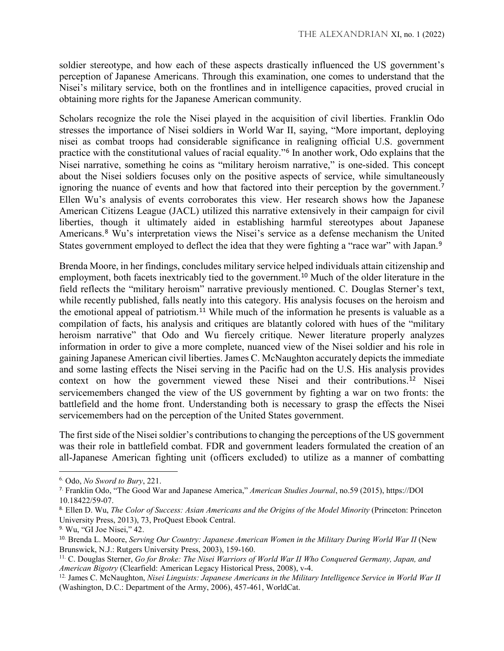soldier stereotype, and how each of these aspects drastically influenced the US government's perception of Japanese Americans. Through this examination, one comes to understand that the Nisei's military service, both on the frontlines and in intelligence capacities, proved crucial in obtaining more rights for the Japanese American community.

Scholars recognize the role the Nisei played in the acquisition of civil liberties. Franklin Odo stresses the importance of Nisei soldiers in World War II, saying, "More important, deploying nisei as combat troops had considerable significance in realigning official U.S. government practice with the constitutional values of racial equality."[6](#page-1-0) In another work, Odo explains that the Nisei narrative, something he coins as "military heroism narrative," is one-sided. This concept about the Nisei soldiers focuses only on the positive aspects of service, while simultaneously ignoring the nuance of events and how that factored into their perception by the government.<sup>[7](#page-1-1)</sup> Ellen Wu's analysis of events corroborates this view. Her research shows how the Japanese American Citizens League (JACL) utilized this narrative extensively in their campaign for civil liberties, though it ultimately aided in establishing harmful stereotypes about Japanese Americans.[8](#page-1-2) Wu's interpretation views the Nisei's service as a defense mechanism the United States government employed to deflect the idea that they were fighting a "race war" with Japan.<sup>[9](#page-1-3)</sup>

Brenda Moore, in her findings, concludes military service helped individuals attain citizenship and employment, both facets inextricably tied to the government.[10](#page-1-4) Much of the older literature in the field reflects the "military heroism" narrative previously mentioned. C. Douglas Sterner's text, while recently published, falls neatly into this category. His analysis focuses on the heroism and the emotional appeal of patriotism.<sup>[11](#page-1-5)</sup> While much of the information he presents is valuable as a compilation of facts, his analysis and critiques are blatantly colored with hues of the "military heroism narrative" that Odo and Wu fiercely critique. Newer literature properly analyzes information in order to give a more complete, nuanced view of the Nisei soldier and his role in gaining Japanese American civil liberties. James C. McNaughton accurately depicts the immediate and some lasting effects the Nisei serving in the Pacific had on the U.S. His analysis provides context on how the government viewed these Nisei and their contributions.[12](#page-1-6) Nisei servicemembers changed the view of the US government by fighting a war on two fronts: the battlefield and the home front. Understanding both is necessary to grasp the effects the Nisei servicemembers had on the perception of the United States government.

The first side of the Nisei soldier's contributions to changing the perceptions of the US government was their role in battlefield combat. FDR and government leaders formulated the creation of an all-Japanese American fighting unit (officers excluded) to utilize as a manner of combatting

l

<span id="page-1-0"></span><sup>6.</sup> Odo, *No Sword to Bury*, 221.

<span id="page-1-1"></span><sup>7.</sup> Franklin Odo, "The Good War and Japanese America," *American Studies Journal*, no.59 (2015), https://DOI 10.18422/59-07.

<span id="page-1-2"></span><sup>8.</sup> Ellen D. Wu, *The Color of Success: Asian Americans and the Origins of the Model Minority* (Princeton: Princeton University Press, 2013), 73, ProQuest Ebook Central.

<span id="page-1-3"></span><sup>9.</sup> Wu, "GI Joe Nisei," 42.

<span id="page-1-4"></span><sup>&</sup>lt;sup>10.</sup> Brenda L. Moore, *Serving Our Country: Japanese American Women in the Military During World War II* (New Brunswick, N.J.: Rutgers University Press, 2003), 159-160.

<span id="page-1-5"></span><sup>11.</sup> C. Douglas Sterner, *Go for Broke: The Nisei Warriors of World War II Who Conquered Germany, Japan, and American Bigotry* (Clearfield: American Legacy Historical Press, 2008), v-4.

<span id="page-1-6"></span><sup>12.</sup> James C. McNaughton, *Nisei Linguists: Japanese Americans in the Military Intelligence Service in World War II* (Washington, D.C.: Department of the Army, 2006), 457-461, WorldCat.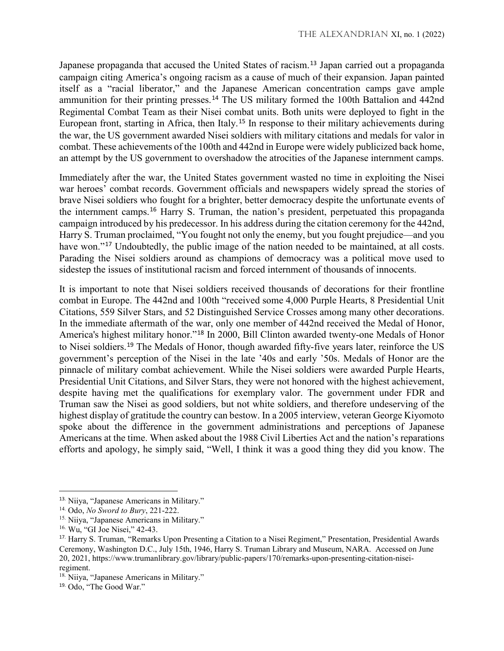Japanese propaganda that accused the United States of racism.<sup>[13](#page-2-0)</sup> Japan carried out a propaganda campaign citing America's ongoing racism as a cause of much of their expansion. Japan painted itself as a "racial liberator," and the Japanese American concentration camps gave ample ammunition for their printing presses.[14](#page-2-1) The US military formed the 100th Battalion and 442nd Regimental Combat Team as their Nisei combat units. Both units were deployed to fight in the European front, starting in Africa, then Italy.[15](#page-2-2) In response to their military achievements during the war, the US government awarded Nisei soldiers with military citations and medals for valor in combat. These achievements of the 100th and 442nd in Europe were widely publicized back home, an attempt by the US government to overshadow the atrocities of the Japanese internment camps.

Immediately after the war, the United States government wasted no time in exploiting the Nisei war heroes' combat records. Government officials and newspapers widely spread the stories of brave Nisei soldiers who fought for a brighter, better democracy despite the unfortunate events of the internment camps.[16](#page-2-3) Harry S. Truman, the nation's president, perpetuated this propaganda campaign introduced by his predecessor. In his address during the citation ceremony for the 442nd, Harry S. Truman proclaimed, "You fought not only the enemy, but you fought prejudice—and you have won."<sup>[17](#page-2-4)</sup> Undoubtedly, the public image of the nation needed to be maintained, at all costs. Parading the Nisei soldiers around as champions of democracy was a political move used to sidestep the issues of institutional racism and forced internment of thousands of innocents.

It is important to note that Nisei soldiers received thousands of decorations for their frontline combat in Europe. The 442nd and 100th "received some 4,000 Purple Hearts, 8 Presidential Unit Citations, 559 Silver Stars, and 52 Distinguished Service Crosses among many other decorations. In the immediate aftermath of the war, only one member of 442nd received the Medal of Honor, America's highest military honor."[18](#page-2-5) In 2000, Bill Clinton awarded twenty-one Medals of Honor to Nisei soldiers.<sup>[19](#page-2-6)</sup> The Medals of Honor, though awarded fifty-five years later, reinforce the US government's perception of the Nisei in the late '40s and early '50s. Medals of Honor are the pinnacle of military combat achievement. While the Nisei soldiers were awarded Purple Hearts, Presidential Unit Citations, and Silver Stars, they were not honored with the highest achievement, despite having met the qualifications for exemplary valor. The government under FDR and Truman saw the Nisei as good soldiers, but not white soldiers, and therefore undeserving of the highest display of gratitude the country can bestow. In a 2005 interview, veteran George Kiyomoto spoke about the difference in the government administrations and perceptions of Japanese Americans at the time. When asked about the 1988 Civil Liberties Act and the nation's reparations efforts and apology, he simply said, "Well, I think it was a good thing they did you know. The

<span id="page-2-0"></span> <sup>13.</sup> Niiya, "Japanese Americans in Military."

<span id="page-2-1"></span><sup>14.</sup> Odo, *No Sword to Bury*, 221-222.

<span id="page-2-2"></span><sup>&</sup>lt;sup>15.</sup> Niiya, "Japanese Americans in Military."

<span id="page-2-3"></span><sup>16.</sup> Wu, "GI Joe Nisei," 42-43.

<span id="page-2-4"></span><sup>&</sup>lt;sup>17.</sup> Harry S. Truman, "Remarks Upon Presenting a Citation to a Nisei Regiment," Presentation, Presidential Awards Ceremony, Washington D.C., July 15th, 1946, Harry S. Truman Library and Museum, NARA. Accessed on June 20, 2021, https://www.trumanlibrary.gov/library/public-papers/170/remarks-upon-presenting-citation-niseiregiment.

<span id="page-2-5"></span><sup>18.</sup> Niiya, "Japanese Americans in Military."

<span id="page-2-6"></span><sup>19.</sup> Odo, "The Good War."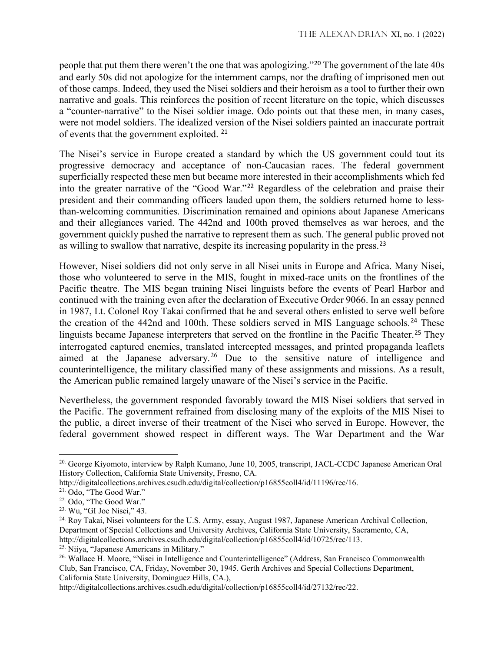people that put them there weren't the one that was apologizing."[20](#page-3-0) The government of the late 40s and early 50s did not apologize for the internment camps, nor the drafting of imprisoned men out of those camps. Indeed, they used the Nisei soldiers and their heroism as a tool to further their own narrative and goals. This reinforces the position of recent literature on the topic, which discusses a "counter-narrative" to the Nisei soldier image. Odo points out that these men, in many cases, were not model soldiers. The idealized version of the Nisei soldiers painted an inaccurate portrait of events that the government exploited. [21](#page-3-1)

The Nisei's service in Europe created a standard by which the US government could tout its progressive democracy and acceptance of non-Caucasian races. The federal government superficially respected these men but became more interested in their accomplishments which fed into the greater narrative of the "Good War."[22](#page-3-2) Regardless of the celebration and praise their president and their commanding officers lauded upon them, the soldiers returned home to lessthan-welcoming communities. Discrimination remained and opinions about Japanese Americans and their allegiances varied. The 442nd and 100th proved themselves as war heroes, and the government quickly pushed the narrative to represent them as such. The general public proved not as willing to swallow that narrative, despite its increasing popularity in the press.<sup>[23](#page-3-3)</sup>

However, Nisei soldiers did not only serve in all Nisei units in Europe and Africa. Many Nisei, those who volunteered to serve in the MIS, fought in mixed-race units on the frontlines of the Pacific theatre. The MIS began training Nisei linguists before the events of Pearl Harbor and continued with the training even after the declaration of Executive Order 9066. In an essay penned in 1987, Lt. Colonel Roy Takai confirmed that he and several others enlisted to serve well before the creation of the  $442$ nd and  $100$ th. These soldiers served in MIS Language schools.<sup>[24](#page-3-4)</sup> These linguists became Japanese interpreters that served on the frontline in the Pacific Theater.<sup>[25](#page-3-5)</sup> They interrogated captured enemies, translated intercepted messages, and printed propaganda leaflets aimed at the Japanese adversary.[26](#page-3-6) Due to the sensitive nature of intelligence and counterintelligence, the military classified many of these assignments and missions. As a result, the American public remained largely unaware of the Nisei's service in the Pacific.

Nevertheless, the government responded favorably toward the MIS Nisei soldiers that served in the Pacific. The government refrained from disclosing many of the exploits of the MIS Nisei to the public, a direct inverse of their treatment of the Nisei who served in Europe. However, the federal government showed respect in different ways. The War Department and the War

 $\overline{a}$ 

<span id="page-3-5"></span>25. Niiya, "Japanese Americans in Military."

<span id="page-3-0"></span><sup>&</sup>lt;sup>20.</sup> George Kiyomoto, interview by Ralph Kumano, June 10, 2005, transcript, JACL-CCDC Japanese American Oral History Collection, California State University, Fresno, CA.

http://digitalcollections.archives.csudh.edu/digital/collection/p16855coll4/id/11196/rec/16.

<span id="page-3-1"></span><sup>21.</sup> Odo, "The Good War."

<span id="page-3-2"></span><sup>22.</sup> Odo, "The Good War."

<span id="page-3-3"></span><sup>23.</sup> Wu, "GI Joe Nisei," 43.

<span id="page-3-4"></span><sup>&</sup>lt;sup>24.</sup> Roy Takai, Nisei volunteers for the U.S. Army, essay, August 1987, Japanese American Archival Collection, Department of Special Collections and University Archives, California State University, Sacramento, CA, http://digitalcollections.archives.csudh.edu/digital/collection/p16855coll4/id/10725/rec/113.

<span id="page-3-6"></span><sup>26.</sup> Wallace H. Moore, "Nisei in Intelligence and Counterintelligence" (Address, San Francisco Commonwealth Club, San Francisco, CA, Friday, November 30, 1945. Gerth Archives and Special Collections Department, California State University, Dominguez Hills, CA.),

http://digitalcollections.archives.csudh.edu/digital/collection/p16855coll4/id/27132/rec/22.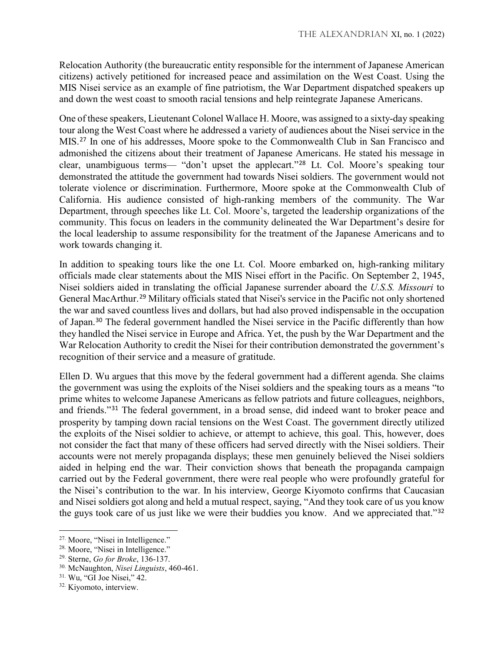Relocation Authority (the bureaucratic entity responsible for the internment of Japanese American citizens) actively petitioned for increased peace and assimilation on the West Coast. Using the MIS Nisei service as an example of fine patriotism, the War Department dispatched speakers up and down the west coast to smooth racial tensions and help reintegrate Japanese Americans.

One of these speakers, Lieutenant Colonel Wallace H. Moore, was assigned to a sixty-day speaking tour along the West Coast where he addressed a variety of audiences about the Nisei service in the MIS.[27](#page-4-0) In one of his addresses, Moore spoke to the Commonwealth Club in San Francisco and admonished the citizens about their treatment of Japanese Americans. He stated his message in clear, unambiguous terms— "don't upset the applecart."[28](#page-4-1) Lt. Col. Moore's speaking tour demonstrated the attitude the government had towards Nisei soldiers. The government would not tolerate violence or discrimination. Furthermore, Moore spoke at the Commonwealth Club of California. His audience consisted of high-ranking members of the community. The War Department, through speeches like Lt. Col. Moore's, targeted the leadership organizations of the community. This focus on leaders in the community delineated the War Department's desire for the local leadership to assume responsibility for the treatment of the Japanese Americans and to work towards changing it.

In addition to speaking tours like the one Lt. Col. Moore embarked on, high-ranking military officials made clear statements about the MIS Nisei effort in the Pacific. On September 2, 1945, Nisei soldiers aided in translating the official Japanese surrender aboard the *U.S.S. Missouri* to General MacArthur.[29](#page-4-2) Military officials stated that Nisei's service in the Pacific not only shortened the war and saved countless lives and dollars, but had also proved indispensable in the occupation of Japan.[30](#page-4-3) The federal government handled the Nisei service in the Pacific differently than how they handled the Nisei service in Europe and Africa. Yet, the push by the War Department and the War Relocation Authority to credit the Nisei for their contribution demonstrated the government's recognition of their service and a measure of gratitude.

Ellen D. Wu argues that this move by the federal government had a different agenda. She claims the government was using the exploits of the Nisei soldiers and the speaking tours as a means "to prime whites to welcome Japanese Americans as fellow patriots and future colleagues, neighbors, and friends."[31](#page-4-4) The federal government, in a broad sense, did indeed want to broker peace and prosperity by tamping down racial tensions on the West Coast. The government directly utilized the exploits of the Nisei soldier to achieve, or attempt to achieve, this goal. This, however, does not consider the fact that many of these officers had served directly with the Nisei soldiers. Their accounts were not merely propaganda displays; these men genuinely believed the Nisei soldiers aided in helping end the war. Their conviction shows that beneath the propaganda campaign carried out by the Federal government, there were real people who were profoundly grateful for the Nisei's contribution to the war. In his interview, George Kiyomoto confirms that Caucasian and Nisei soldiers got along and held a mutual respect, saying, "And they took care of us you know the guys took care of us just like we were their buddies you know. And we appreciated that."[32](#page-4-5)

 $\overline{a}$ 

<span id="page-4-0"></span><sup>27.</sup> Moore, "Nisei in Intelligence."

<span id="page-4-1"></span><sup>28.</sup> Moore, "Nisei in Intelligence."

<span id="page-4-2"></span><sup>29.</sup> Sterne, *Go for Broke*, 136-137.

<span id="page-4-3"></span><sup>30.</sup> McNaughton, *Nisei Linguists*, 460-461.

<span id="page-4-4"></span> $31.$  Wu, "GI Joe Nisei," 42.

<span id="page-4-5"></span><sup>32.</sup> Kiyomoto, interview.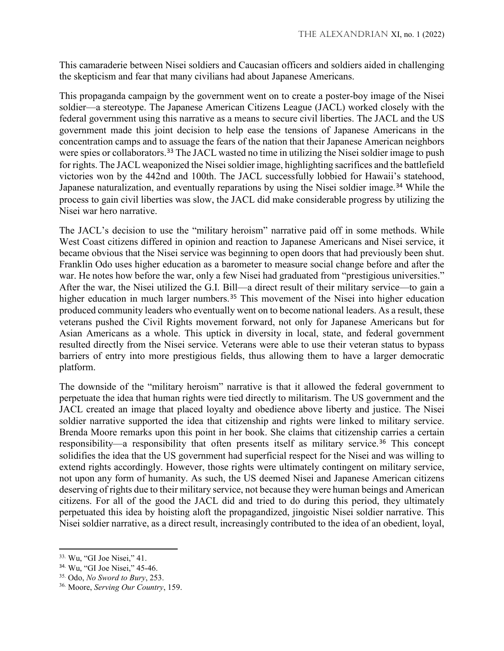This camaraderie between Nisei soldiers and Caucasian officers and soldiers aided in challenging the skepticism and fear that many civilians had about Japanese Americans.

This propaganda campaign by the government went on to create a poster-boy image of the Nisei soldier—a stereotype. The Japanese American Citizens League (JACL) worked closely with the federal government using this narrative as a means to secure civil liberties. The JACL and the US government made this joint decision to help ease the tensions of Japanese Americans in the concentration camps and to assuage the fears of the nation that their Japanese American neighbors were spies or collaborators.<sup>[33](#page-5-0)</sup> The JACL wasted no time in utilizing the Nisei soldier image to push for rights. The JACL weaponized the Nisei soldier image, highlighting sacrifices and the battlefield victories won by the 442nd and 100th. The JACL successfully lobbied for Hawaii's statehood, Japanese naturalization, and eventually reparations by using the Nisei soldier image.<sup>[34](#page-5-1)</sup> While the process to gain civil liberties was slow, the JACL did make considerable progress by utilizing the Nisei war hero narrative.

The JACL's decision to use the "military heroism" narrative paid off in some methods. While West Coast citizens differed in opinion and reaction to Japanese Americans and Nisei service, it became obvious that the Nisei service was beginning to open doors that had previously been shut. Franklin Odo uses higher education as a barometer to measure social change before and after the war. He notes how before the war, only a few Nisei had graduated from "prestigious universities." After the war, the Nisei utilized the G.I. Bill—a direct result of their military service—to gain a higher education in much larger numbers.<sup>[35](#page-5-2)</sup> This movement of the Nisei into higher education produced community leaders who eventually went on to become national leaders. As a result, these veterans pushed the Civil Rights movement forward, not only for Japanese Americans but for Asian Americans as a whole. This uptick in diversity in local, state, and federal government resulted directly from the Nisei service. Veterans were able to use their veteran status to bypass barriers of entry into more prestigious fields, thus allowing them to have a larger democratic platform.

The downside of the "military heroism" narrative is that it allowed the federal government to perpetuate the idea that human rights were tied directly to militarism. The US government and the JACL created an image that placed loyalty and obedience above liberty and justice. The Nisei soldier narrative supported the idea that citizenship and rights were linked to military service. Brenda Moore remarks upon this point in her book. She claims that citizenship carries a certain responsibility—a responsibility that often presents itself as military service.<sup>[36](#page-5-3)</sup> This concept solidifies the idea that the US government had superficial respect for the Nisei and was willing to extend rights accordingly. However, those rights were ultimately contingent on military service, not upon any form of humanity. As such, the US deemed Nisei and Japanese American citizens deserving of rights due to their military service, not because they were human beings and American citizens. For all of the good the JACL did and tried to do during this period, they ultimately perpetuated this idea by hoisting aloft the propagandized, jingoistic Nisei soldier narrative. This Nisei soldier narrative, as a direct result, increasingly contributed to the idea of an obedient, loyal,

l

<span id="page-5-0"></span><sup>33.</sup> Wu, "GI Joe Nisei," 41.

<span id="page-5-2"></span><span id="page-5-1"></span><sup>34.</sup> Wu, "GI Joe Nisei," 45-46. 35. Odo, *No Sword to Bury*, 253.

<span id="page-5-3"></span><sup>36.</sup> Moore, *Serving Our Country*, 159.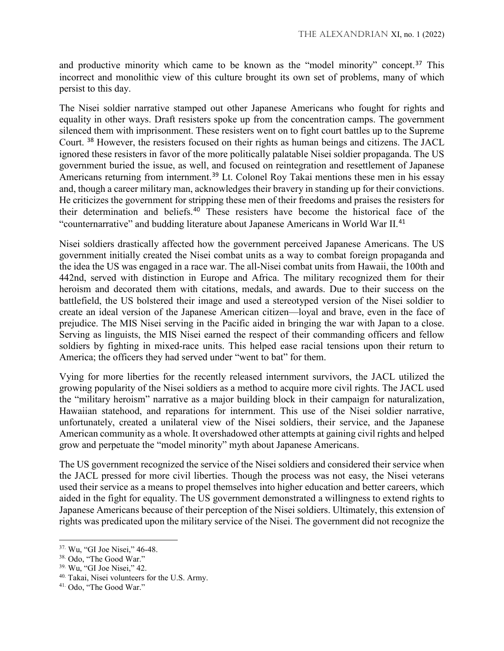and productive minority which came to be known as the "model minority" concept.[37](#page-6-0) This incorrect and monolithic view of this culture brought its own set of problems, many of which persist to this day.

The Nisei soldier narrative stamped out other Japanese Americans who fought for rights and equality in other ways. Draft resisters spoke up from the concentration camps. The government silenced them with imprisonment. These resisters went on to fight court battles up to the Supreme Court. [38](#page-6-1) However, the resisters focused on their rights as human beings and citizens. The JACL ignored these resisters in favor of the more politically palatable Nisei soldier propaganda. The US government buried the issue, as well, and focused on reintegration and resettlement of Japanese Americans returning from internment.<sup>[39](#page-6-2)</sup> Lt. Colonel Roy Takai mentions these men in his essay and, though a career military man, acknowledges their bravery in standing up for their convictions. He criticizes the government for stripping these men of their freedoms and praises the resisters for their determination and beliefs.[40](#page-6-3) These resisters have become the historical face of the "counternarrative" and budding literature about Japanese Americans in World War II.[41](#page-6-4)

Nisei soldiers drastically affected how the government perceived Japanese Americans. The US government initially created the Nisei combat units as a way to combat foreign propaganda and the idea the US was engaged in a race war. The all-Nisei combat units from Hawaii, the 100th and 442nd, served with distinction in Europe and Africa. The military recognized them for their heroism and decorated them with citations, medals, and awards. Due to their success on the battlefield, the US bolstered their image and used a stereotyped version of the Nisei soldier to create an ideal version of the Japanese American citizen—loyal and brave, even in the face of prejudice. The MIS Nisei serving in the Pacific aided in bringing the war with Japan to a close. Serving as linguists, the MIS Nisei earned the respect of their commanding officers and fellow soldiers by fighting in mixed-race units. This helped ease racial tensions upon their return to America; the officers they had served under "went to bat" for them.

Vying for more liberties for the recently released internment survivors, the JACL utilized the growing popularity of the Nisei soldiers as a method to acquire more civil rights. The JACL used the "military heroism" narrative as a major building block in their campaign for naturalization, Hawaiian statehood, and reparations for internment. This use of the Nisei soldier narrative, unfortunately, created a unilateral view of the Nisei soldiers, their service, and the Japanese American community as a whole. It overshadowed other attempts at gaining civil rights and helped grow and perpetuate the "model minority" myth about Japanese Americans.

The US government recognized the service of the Nisei soldiers and considered their service when the JACL pressed for more civil liberties. Though the process was not easy, the Nisei veterans used their service as a means to propel themselves into higher education and better careers, which aided in the fight for equality. The US government demonstrated a willingness to extend rights to Japanese Americans because of their perception of the Nisei soldiers. Ultimately, this extension of rights was predicated upon the military service of the Nisei. The government did not recognize the

 $\overline{\phantom{a}}$ 

<span id="page-6-1"></span><span id="page-6-0"></span><sup>37.</sup> Wu, "GI Joe Nisei," 46-48.

<sup>38.</sup> Odo, "The Good War."

<span id="page-6-2"></span><sup>39.</sup> Wu, "GI Joe Nisei," 42.

<span id="page-6-3"></span><sup>&</sup>lt;sup>40.</sup> Takai, Nisei volunteers for the U.S. Army.

<span id="page-6-4"></span><sup>41.</sup> Odo, "The Good War."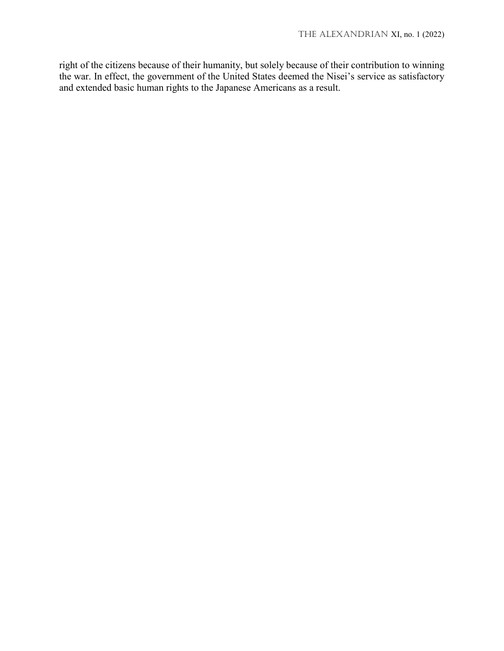right of the citizens because of their humanity, but solely because of their contribution to winning the war. In effect, the government of the United States deemed the Nisei's service as satisfactory and extended basic human rights to the Japanese Americans as a result.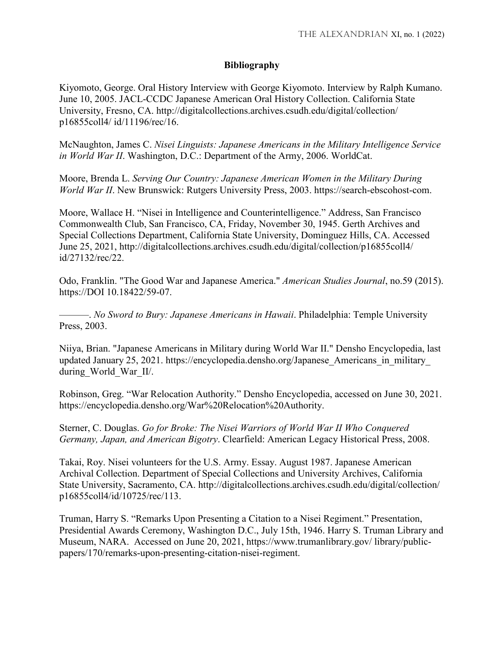## **Bibliography**

Kiyomoto, George. Oral History Interview with George Kiyomoto. Interview by Ralph Kumano. June 10, 2005. JACL-CCDC Japanese American Oral History Collection. California State University, Fresno, CA. http://digitalcollections.archives.csudh.edu/digital/collection/ p16855coll4/ id/11196/rec/16.

McNaughton, James C. *Nisei Linguists: Japanese Americans in the Military Intelligence Service in World War II*. Washington, D.C.: Department of the Army, 2006. WorldCat.

Moore, Brenda L. *Serving Our Country: Japanese American Women in the Military During World War II*. New Brunswick: Rutgers University Press, 2003. https://search-ebscohost-com.

Moore, Wallace H. "Nisei in Intelligence and Counterintelligence." Address, San Francisco Commonwealth Club, San Francisco, CA, Friday, November 30, 1945. Gerth Archives and Special Collections Department, California State University, Dominguez Hills, CA. Accessed June 25, 2021, http://digitalcollections.archives.csudh.edu/digital/collection/p16855coll4/ id/27132/rec/22.

Odo, Franklin. "The Good War and Japanese America." *American Studies Journal*, no.59 (2015). https://DOI 10.18422/59-07.

———. *No Sword to Bury: Japanese Americans in Hawaii*. Philadelphia: Temple University Press, 2003.

Niiya, Brian. "Japanese Americans in Military during World War II." Densho Encyclopedia, last updated January 25, 2021. https://encyclopedia.densho.org/Japanese\_Americans\_in\_military\_ during\_World\_War\_II/.

Robinson, Greg. "War Relocation Authority." Densho Encyclopedia, accessed on June 30, 2021. https://encyclopedia.densho.org/War%20Relocation%20Authority.

Sterner, C. Douglas. *Go for Broke: The Nisei Warriors of World War II Who Conquered Germany, Japan, and American Bigotry*. Clearfield: American Legacy Historical Press, 2008.

Takai, Roy. Nisei volunteers for the U.S. Army. Essay. August 1987. Japanese American Archival Collection. Department of Special Collections and University Archives, California State University, Sacramento, CA. http://digitalcollections.archives.csudh.edu/digital/collection/ p16855coll4/id/10725/rec/113.

Truman, Harry S. "Remarks Upon Presenting a Citation to a Nisei Regiment." Presentation, Presidential Awards Ceremony, Washington D.C., July 15th, 1946. Harry S. Truman Library and Museum, NARA. Accessed on June 20, 2021, https://www.trumanlibrary.gov/ library/publicpapers/170/remarks-upon-presenting-citation-nisei-regiment.